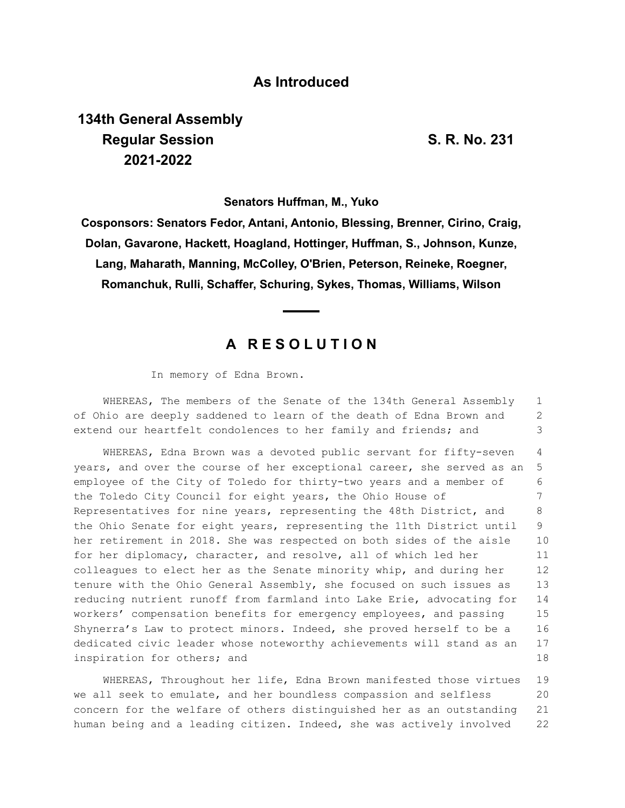### **As Introduced**

# **134th General Assembly Regular Session S. R. No. 231 2021-2022**

**Senators Huffman, M., Yuko**

**Cosponsors: Senators Fedor, Antani, Antonio, Blessing, Brenner, Cirino, Craig, Dolan, Gavarone, Hackett, Hoagland, Hottinger, Huffman, S., Johnson, Kunze, Lang, Maharath, Manning, McColley, O'Brien, Peterson, Reineke, Roegner, Romanchuk, Rulli, Schaffer, Schuring, Sykes, Thomas, Williams, Wilson**

## **A R E S O L U T I O N**

In memory of Edna Brown.

WHEREAS, The members of the Senate of the 134th General Assembly of Ohio are deeply saddened to learn of the death of Edna Brown and extend our heartfelt condolences to her family and friends; and 1 2 3

WHEREAS, Edna Brown was a devoted public servant for fifty-seven years, and over the course of her exceptional career, she served as an employee of the City of Toledo for thirty-two years and a member of the Toledo City Council for eight years, the Ohio House of Representatives for nine years, representing the 48th District, and the Ohio Senate for eight years, representing the 11th District until her retirement in 2018. She was respected on both sides of the aisle for her diplomacy, character, and resolve, all of which led her colleagues to elect her as the Senate minority whip, and during her tenure with the Ohio General Assembly, she focused on such issues as reducing nutrient runoff from farmland into Lake Erie, advocating for workers' compensation benefits for emergency employees, and passing Shynerra's Law to protect minors. Indeed, she proved herself to be a dedicated civic leader whose noteworthy achievements will stand as an inspiration for others; and 4 5 6 7 8  $\Omega$ 10 11 12 13 14 15 16 17 18

WHEREAS, Throughout her life, Edna Brown manifested those virtues we all seek to emulate, and her boundless compassion and selfless concern for the welfare of others distinguished her as an outstanding human being and a leading citizen. Indeed, she was actively involved 19 20 21 22